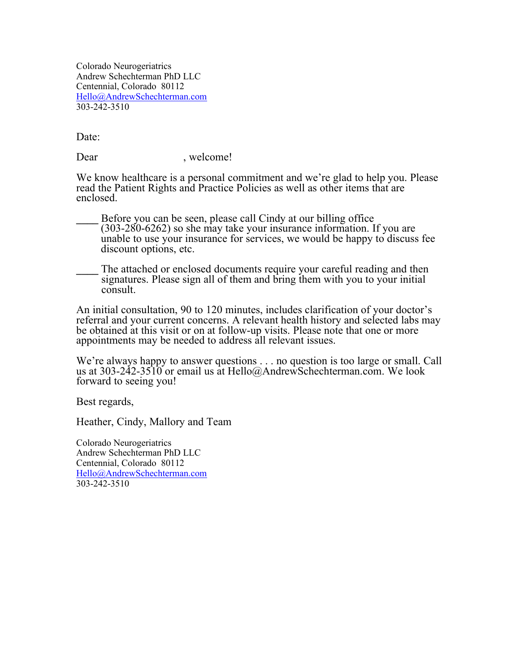Colorado Neurogeriatrics Andrew Schechterman PhD LLC Centennial, Colorado 80112 Hello@AndrewSchechterman.com 303-242-3510

Date:

Dear , welcome!

We know healthcare is a personal commitment and we're glad to help you. Please read the Patient Rights and Practice Policies as well as other items that are enclosed.

**\_\_\_\_** Before you can be seen, please call Cindy at our billing office (303-280-6262) so she may take your insurance information. If you are unable to use your insurance for services, we would be happy to discuss fee discount options, etc.

**\_\_\_\_** The attached or enclosed documents require your careful reading and then signatures. Please sign all of them and bring them with you to your initial consult.

An initial consultation, 90 to 120 minutes, includes clarification of your doctor's referral and your current concerns. A relevant health history and selected labs may be obtained at this visit or on at follow-up visits. Please note that one or more appointments may be needed to address all relevant issues.

We're always happy to answer questions . . . no question is too large or small. Call us at 303-242-3510 or email us at Hello@AndrewSchechterman.com. We look forward to seeing you!

Best regards,

Heather, Cindy, Mallory and Team

Colorado Neurogeriatrics Andrew Schechterman PhD LLC Centennial, Colorado 80112 Hello@AndrewSchechterman.com 303-242-3510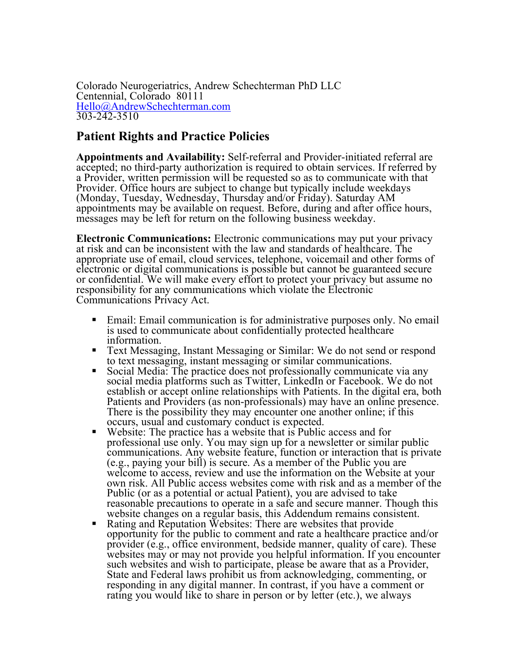Colorado Neurogeriatrics, Andrew Schechterman PhD LLC Centennial, Colorado 80111 Hello@AndrewSchechterman.com 303-242-3510

## **Patient Rights and Practice Policies**

**Appointments and Availability:** Self-referral and Provider-initiated referral are accepted; no third-party authorization is required to obtain services. If referred by a Provider, written permission will be requested so as to communicate with that Provider. Office hours are subject to change but typically include weekdays (Monday, Tuesday, Wednesday, Thursday and/or Friday). Saturday AM appointments may be available on request. Before, during and after office hours, messages may be left for return on the following business weekday.

**Electronic Communications:** Electronic communications may put your privacy at risk and can be inconsistent with the law and standards of healthcare. The appropriate use of email, cloud services, telephone, voicemail and other forms of electronic or digital communications is possible but cannot be guaranteed secure or confidential. We will make every effort to protect your privacy but assume no responsibility for any communications which violate the Electronic Communications Privacy Act.

- Email: Email communication is for administrative purposes only. No email is used to communicate about confidentially protected healthcare
- Text Messaging, Instant Messaging or Similar: We do not send or respond to text messaging, instant messaging or similar communications.
- Social Media: The practice does not professionally communicate via any social media platforms such as Twitter, LinkedIn or Facebook. We do not establish or accept online relationships with Patients. In the digital era, both Patients and Providers (as non-professionals) may have an online presence. There is the possibility they may encounter one another online; if this occurs, usual and customary conduct is expected.
- $\blacksquare$  Website: The practice has a website that is Public access and for professional use only. You may sign up for a newsletter or similar public communications. Any website feature, function or interaction that is private (e.g., paying your bill) is secure. As a member of the Public you are welcome to access, review and use the information on the Website at your own risk. All Public access websites come with risk and as a member of the Public (or as a potential or actual Patient), you are advised to take reasonable precautions to operate in a safe and secure manner. Though this
- Rating and Reputation Websites: There are websites that provide opportunity for the public to comment and rate a healthcare practice and/or provider (e.g., office environment, bedside manner, quality of care). These websites may or may not provide you helpful information. If you encounter such websites and wish to participate, please be aware that as a Provider, State and Federal laws prohibit us from acknowledging, commenting, or responding in any digital manner. In contrast, if you have a comment or rating you would like to share in person or by letter (etc.), we always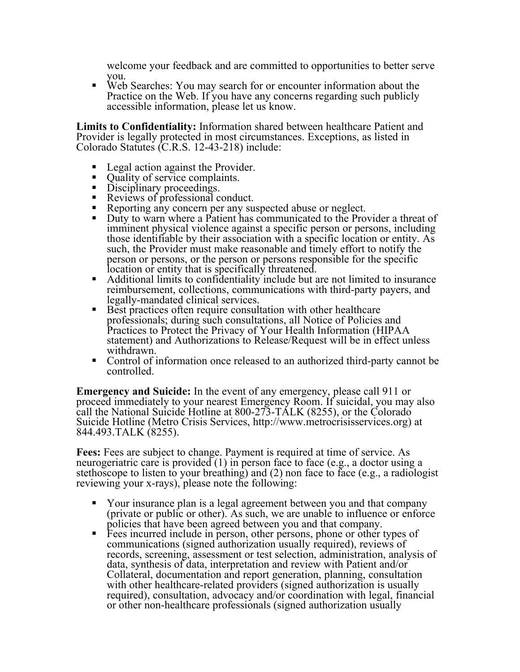welcome your feedback and are committed to opportunities to better serve

you.<br>• Web Searches: You may search for or encounter information about the Practice on the Web. If you have any concerns regarding such publicly accessible information, please let us know.

**Limits to Confidentiality:** Information shared between healthcare Patient and Provider is legally protected in most circumstances. Exceptions, as listed in Colorado Statutes (C.R.S. 12-43-218) include:

- 
- 
- 
- 
- 
- Legal action against the Provider.<br>
Quality of service complaints.<br>
Disciplinary proceedings.<br>
Reviews of professional conduct.<br>
Reporting any concern per any suspected abuse or neglect.<br>
Duty to warn where a P imminent physical violence against a specific person or persons, including those identifiable by their association with a specific location or entity. As such, the Provider must make reasonable and timely effort to notify the person or persons, or the person or persons responsible for the specific
- Additional limits to confidentiality include but are not limited to insurance reimbursement, collections, communications with third-party payers, and
- $\blacksquare$  Best practices often require consultation with other healthcare professionals; during such consultations, all Notice of Policies and Practices to Protect the Privacy of Your Health Information (HIPAA statement) and Authorizations to Release/Request will be in effect unless
- withdrawn.<br>• Control of information once released to an authorized third-party cannot be controlled.

**Emergency and Suicide:** In the event of any emergency, please call 911 or proceed immediately to your nearest Emergency Room. If suicidal, you may also call the National Suicide Hotline at 800-273-TALK (8255), or the Colorado Suicide Hotline (Metro Crisis Services, http://www.metrocrisisservices.org) at 844.493.TALK (8255).

**Fees:** Fees are subject to change. Payment is required at time of service. As neurogeriatric care is provided (1) in person face to face (e.g., a doctor using a stethoscope to listen to your breathing) and (2) non face to face (e.g., a radiologist reviewing your x-rays), please note the following:

- § Your insurance plan is a legal agreement between you and that company (private or public or other). As such, we are unable to influence or enforce policies that have been agreed between you and that company.<br>• Fees incurred include in person, other persons, phone or other types of
- communications (signed authorization usually required), reviews of records, screening, assessment or test selection, administration, analysis of data, synthesis of data, interpretation and review with Patient and/or Collateral, documentation and report generation, planning, consultation with other healthcare-related providers (signed authorization is usually required), consultation, advocacy and/or coordination with legal, financial or other non-healthcare professionals (signed authorization usually